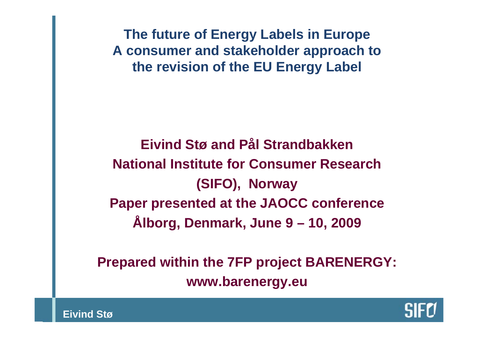**The future of Energy Labels in Europe A consumer and stakeholder approach to the revision of the EU Energy Label**

**Eivind Stø and Pål Strandbakken National Institute for Consumer Research(SIFO), Norway Paper presented at the JAOCC conference Ålborg, Denmark, June 9 – 10, 2009**

**Prepared within the 7FP project BARENERGY: www.barenergy.eu**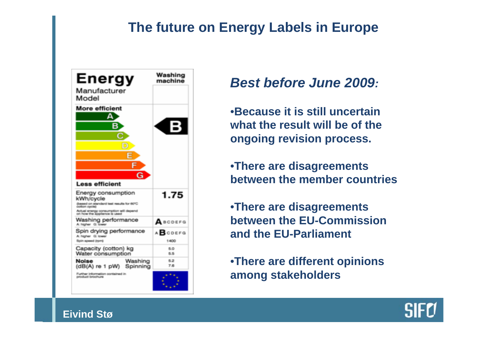

## *Best before June 2009:*

•**Because it is still uncertain what the result will be of the ongoing revision process.**

•**There are disagreements between the member countries**

•**There are disagreements between the EU-Commission and the EU-Parliament**

•**There are different opinions among stakeholders**

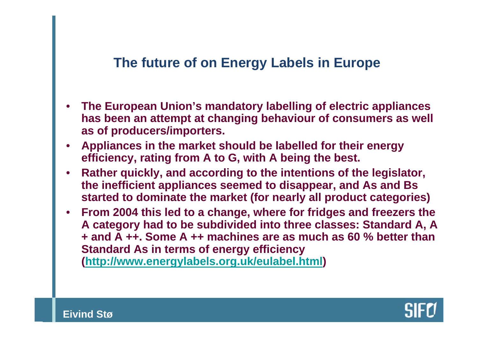- **The European Union's mandatory labelling of electric appliances has been an attempt at changing behaviour of consumers as well as of producers/importers.**
- **Appliances in the market should be labelled for their energy efficiency, rating from A to G, with A being the best.**
- **Rather quickly, and according to the intentions of the legislator, the inefficient appliances seemed to disappear, and As and Bs started to dominate the market (for nearly all product categories)**
- **From 2004 this led to a change, where for fridges and freezers the A category had to be subdivided into three classes: Standard A, A + and A ++. Some A ++ machines are as much as 60 % better than Standard As in terms of energy efficiency (<http://www.energylabels.org.uk/eulabel.html>)**

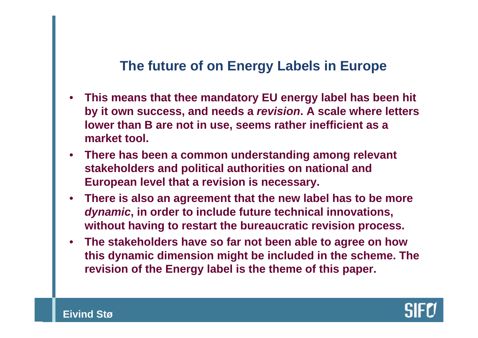- **This means that thee mandatory EU energy label has been hit by it own success, and needs a** *revision***. A scale where letters lower than B are not in use, seems rather inefficient as a market tool.**
- **There has been a common understanding among relevant stakeholders and political authorities on national and European level that a revision is necessary.**
- **There is also an agreement that the new label has to be more**  *dynamic***, in order to include future technical innovations, without having to restart the bureaucratic revision process.**
- **The stakeholders have so far not been able to agree on how this dynamic dimension might be included in the scheme. The revision of the Energy label is the theme of this paper.**

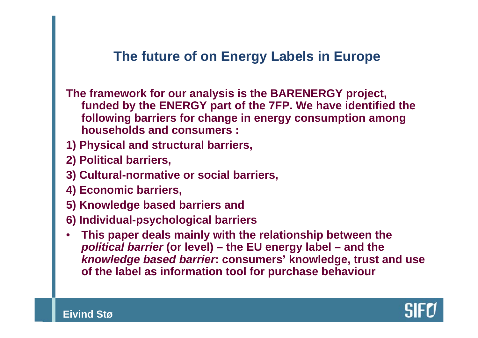**The framework for our analysis is the BARENERGY project, funded by the ENERGY part of the 7FP. We have identified the following barriers for change in energy consumption among households and consumers :**

- **1) Physical and structural barriers,**
- **2) Political barriers,**
- **3) Cultural-normative or social barriers,**
- **4) Economic barriers,**
- **5) Knowledge based barriers and**
- **6) Individual-psychological barriers**
- **This paper deals mainly with the relationship between the**  *political barrier* **(or level) – the EU energy label – and the**  *knowledge based barrier***: consumers' knowledge, trust and use of the label as information tool for purchase behaviour**

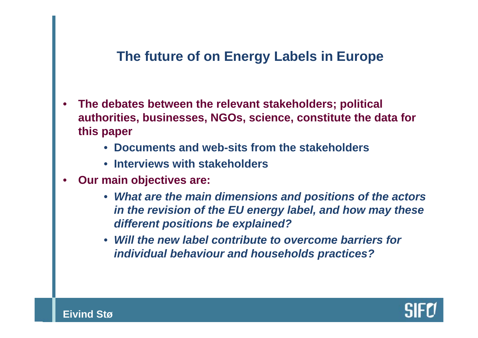- **The debates between the relevant stakeholders; political authorities, businesses, NGOs, science, constitute the data for this paper**
	- **Documents and web-sits from the stakeholders**
	- **Interviews with stakeholders**
- **Our main objectives are:**
	- *What are the main dimensions and positions of the actors in the revision of the EU energy label, and how may these different positions be explained?*
	- *Will the new label contribute to overcome barriers for individual behaviour and households practices?*

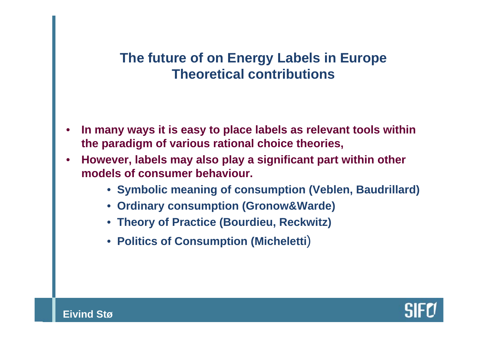# **The future of on Energy Labels in Europe Theoretical contributions**

- **In many ways it is easy to place labels as relevant tools within the paradigm of various rational choice theories,**
- **However, labels may also play a significant part within other models of consumer behaviour.**
	- **Symbolic meaning of consumption (Veblen, Baudrillard)**
	- **Ordinary consumption (Gronow&Warde)**
	- **Theory of Practice (Bourdieu, Reckwitz)**
	- **Politics of Consumption (Micheletti**)

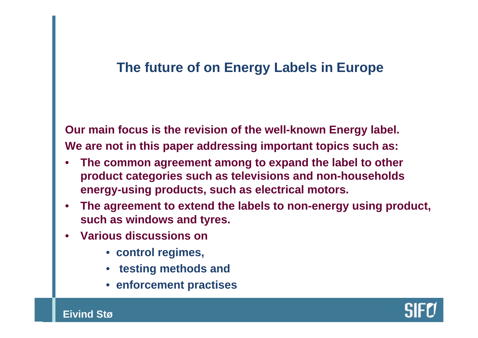**Our main focus is the revision of the well-known Energy label. We are not in this paper addressing important topics such as:**

- **The common agreement among to expand the label to other product categories such as televisions and non-households energy-using products, such as electrical motors.**
- **The agreement to extend the labels to non-energy using product, such as windows and tyres.**
- **Various discussions on** 
	- **control regimes,**
	- **testing methods and**
	- **enforcement practises**

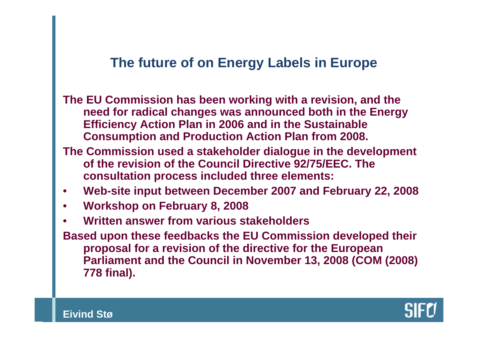**The EU Commission has been working with a revision, and the need for radical changes was announced both in the Energy Efficiency Action Plan in 2006 and in the Sustainable Consumption and Production Action Plan from 2008.**

- **The Commission used a stakeholder dialogue in the development of the revision of the Council Directive 92/75/EEC. The consultation process included three elements:**
- **Web-site input between December 2007 and February 22, 2008**
- **Workshop on February 8, 2008**
- **Written answer from various stakeholders**
- **Based upon these feedbacks the EU Commission developed their proposal for a revision of the directive for the European Parliament and the Council in November 13, 2008 (COM (2008) 778 final).**

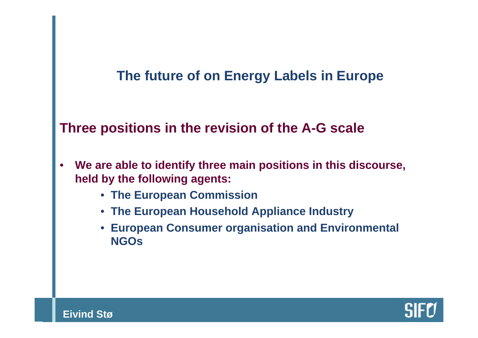#### **Three positions in the revision of the A-G scale**

- **We are able to identify three main positions in this discourse, held by the following agents:**
	- **The European Commission**
	- **The European Household Appliance Industry**
	- **European Consumer organisation and Environmental NGOs**

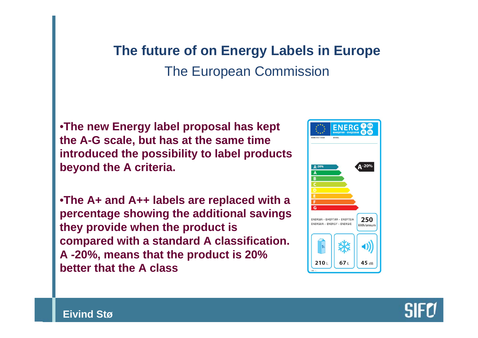# **The future of on Energy Labels in Europe**  The European Commission

•**The new Energy label proposal has kept the A-G scale, but has at the same time introduced the possibility to label products beyond the A criteria.**

•**The A+ and A++ labels are replaced with a percentage showing the additional savings they provide when the product is compared with a standard A classification. A -20%, means that the product is 20% better that the A class**

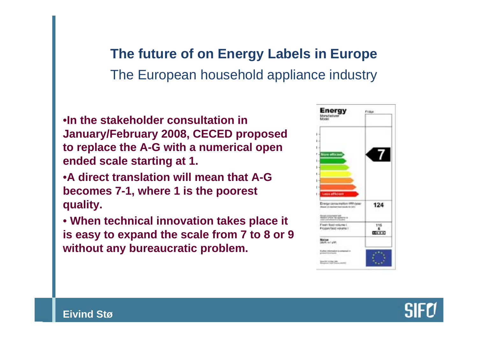# **The future of on Energy Labels in Europe**  The European household appliance industry

•**In the stakeholder consultation in January/February 2008, CECED proposed to replace the A-G with a numerical open ended scale starting at 1.** 

- •**A direct translation will mean that A-G becomes 7-1, where 1 is the poorest quality.**
- **When technical innovation takes place it is easy to expand the scale from 7 to 8 or 9 without any bureaucratic problem.**



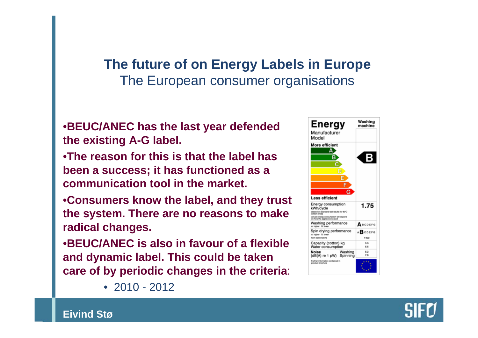# **The future of on Energy Labels in Europe**  The European consumer organisations

•**BEUC/ANEC has the last year defended the existing A-G label.** 

- •**The reason for this is that the label has been a success; it has functioned as a communication tool in the market.**
- •**Consumers know the label, and they trust the system. There are no reasons to make radical changes.**
- •**BEUC/ANEC is also in favour of a flexible and dynamic label. This could be taken care of by periodic changes in the criteria**:



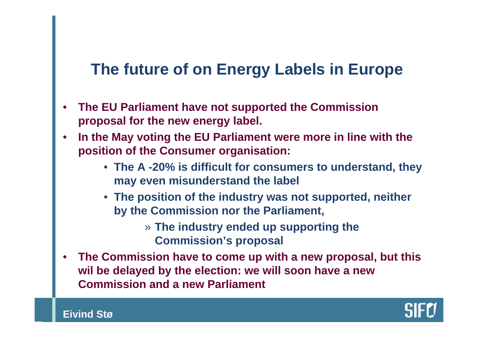- **The EU Parliament have not supported the Commission proposal for the new energy label.**
- **In the May voting the EU Parliament were more in line with the position of the Consumer organisation:**
	- **The A -20% is difficult for consumers to understand, they may even misunderstand the label**
	- **The position of the industry was not supported, neither by the Commission nor the Parliament,** 
		- » **The industry ended up supporting the Commission's proposal**
- **The Commission have to come up with a new proposal, but this wil be delayed by the election: we will soon have a new Commission and a new Parliament**